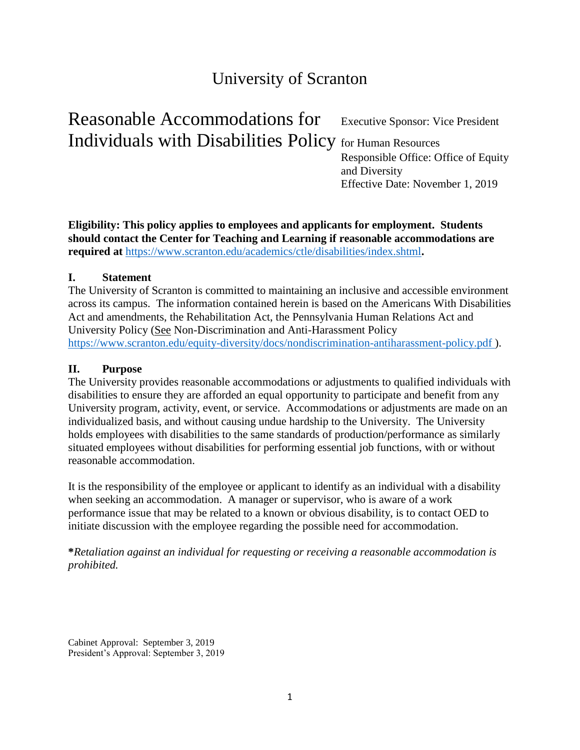# University of Scranton

Reasonable Accommodations for Executive Sponsor: Vice President Individuals with Disabilities Policy for Human Resources Responsible Office: Office of Equity

and Diversity Effective Date: November 1, 2019

**Eligibility: This policy applies to employees and applicants for employment. Students should contact the Center for Teaching and Learning if reasonable accommodations are required at** <https://www.scranton.edu/academics/ctle/disabilities/index.shtml>**.**

## **I. Statement**

The University of Scranton is committed to maintaining an inclusive and accessible environment across its campus. The information contained herein is based on the Americans With Disabilities Act and amendments, the Rehabilitation Act, the Pennsylvania Human Relations Act and University Policy (See Non-Discrimination and Anti-Harassment Policy <https://www.scranton.edu/equity-diversity/docs/nondiscrimination-antiharassment-policy.pdf> ).

#### **II. Purpose**

The University provides reasonable accommodations or adjustments to qualified individuals with disabilities to ensure they are afforded an equal opportunity to participate and benefit from any University program, activity, event, or service. Accommodations or adjustments are made on an individualized basis, and without causing undue hardship to the University. The University holds employees with disabilities to the same standards of production/performance as similarly situated employees without disabilities for performing essential job functions, with or without reasonable accommodation.

It is the responsibility of the employee or applicant to identify as an individual with a disability when seeking an accommodation. A manager or supervisor, who is aware of a work performance issue that may be related to a known or obvious disability, is to contact OED to initiate discussion with the employee regarding the possible need for accommodation.

**\****Retaliation against an individual for requesting or receiving a reasonable accommodation is prohibited.*

Cabinet Approval: September 3, 2019 President's Approval: September 3, 2019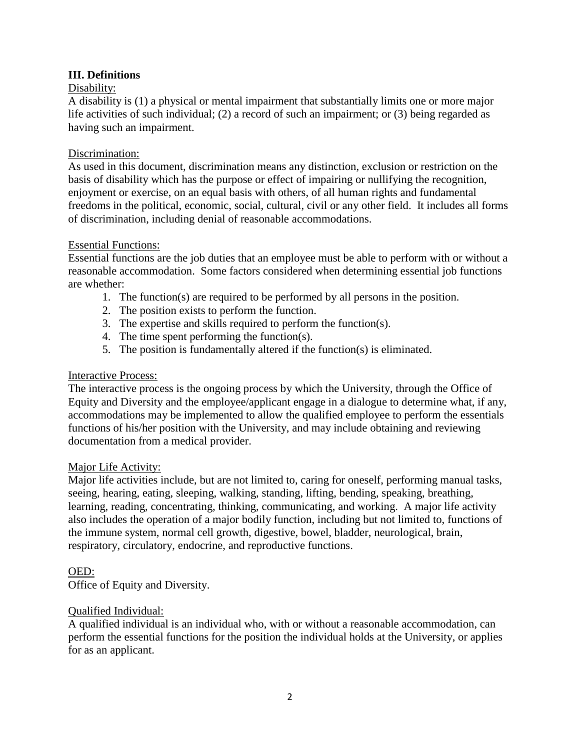## **III. Definitions**

## Disability:

A disability is (1) a physical or mental impairment that substantially limits one or more major life activities of such individual; (2) a record of such an impairment; or (3) being regarded as having such an impairment.

## Discrimination:

As used in this document, discrimination means any distinction, exclusion or restriction on the basis of disability which has the purpose or effect of impairing or nullifying the recognition, enjoyment or exercise, on an equal basis with others, of all human rights and fundamental freedoms in the political, economic, social, cultural, civil or any other field. It includes all forms of discrimination, including denial of reasonable accommodations.

#### Essential Functions:

Essential functions are the job duties that an employee must be able to perform with or without a reasonable accommodation. Some factors considered when determining essential job functions are whether:

- 1. The function(s) are required to be performed by all persons in the position.
- 2. The position exists to perform the function.
- 3. The expertise and skills required to perform the function(s).
- 4. The time spent performing the function(s).
- 5. The position is fundamentally altered if the function(s) is eliminated.

#### Interactive Process:

The interactive process is the ongoing process by which the University, through the Office of Equity and Diversity and the employee/applicant engage in a dialogue to determine what, if any, accommodations may be implemented to allow the qualified employee to perform the essentials functions of his/her position with the University, and may include obtaining and reviewing documentation from a medical provider.

#### Major Life Activity:

Major life activities include, but are not limited to, caring for oneself, performing manual tasks, seeing, hearing, eating, sleeping, walking, standing, lifting, bending, speaking, breathing, learning, reading, concentrating, thinking, communicating, and working. A major life activity also includes the operation of a major bodily function, including but not limited to, functions of the immune system, normal cell growth, digestive, bowel, bladder, neurological, brain, respiratory, circulatory, endocrine, and reproductive functions.

#### OED:

Office of Equity and Diversity.

#### Qualified Individual:

A qualified individual is an individual who, with or without a reasonable accommodation, can perform the essential functions for the position the individual holds at the University, or applies for as an applicant.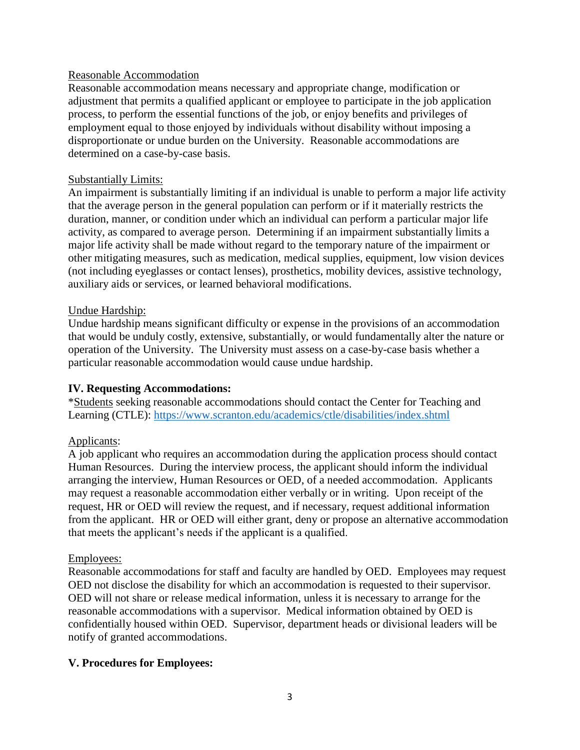#### Reasonable Accommodation

Reasonable accommodation means necessary and appropriate change, modification or adjustment that permits a qualified applicant or employee to participate in the job application process, to perform the essential functions of the job, or enjoy benefits and privileges of employment equal to those enjoyed by individuals without disability without imposing a disproportionate or undue burden on the University. Reasonable accommodations are determined on a case-by-case basis.

#### Substantially Limits:

An impairment is substantially limiting if an individual is unable to perform a major life activity that the average person in the general population can perform or if it materially restricts the duration, manner, or condition under which an individual can perform a particular major life activity, as compared to average person. Determining if an impairment substantially limits a major life activity shall be made without regard to the temporary nature of the impairment or other mitigating measures, such as medication, medical supplies, equipment, low vision devices (not including eyeglasses or contact lenses), prosthetics, mobility devices, assistive technology, auxiliary aids or services, or learned behavioral modifications.

#### Undue Hardship:

Undue hardship means significant difficulty or expense in the provisions of an accommodation that would be unduly costly, extensive, substantially, or would fundamentally alter the nature or operation of the University. The University must assess on a case-by-case basis whether a particular reasonable accommodation would cause undue hardship.

#### **IV. Requesting Accommodations:**

\*Students seeking reasonable accommodations should contact the Center for Teaching and Learning (CTLE):<https://www.scranton.edu/academics/ctle/disabilities/index.shtml>

#### Applicants:

A job applicant who requires an accommodation during the application process should contact Human Resources. During the interview process, the applicant should inform the individual arranging the interview, Human Resources or OED, of a needed accommodation. Applicants may request a reasonable accommodation either verbally or in writing. Upon receipt of the request, HR or OED will review the request, and if necessary, request additional information from the applicant. HR or OED will either grant, deny or propose an alternative accommodation that meets the applicant's needs if the applicant is a qualified.

#### Employees:

Reasonable accommodations for staff and faculty are handled by OED. Employees may request OED not disclose the disability for which an accommodation is requested to their supervisor. OED will not share or release medical information, unless it is necessary to arrange for the reasonable accommodations with a supervisor. Medical information obtained by OED is confidentially housed within OED. Supervisor, department heads or divisional leaders will be notify of granted accommodations.

#### **V. Procedures for Employees:**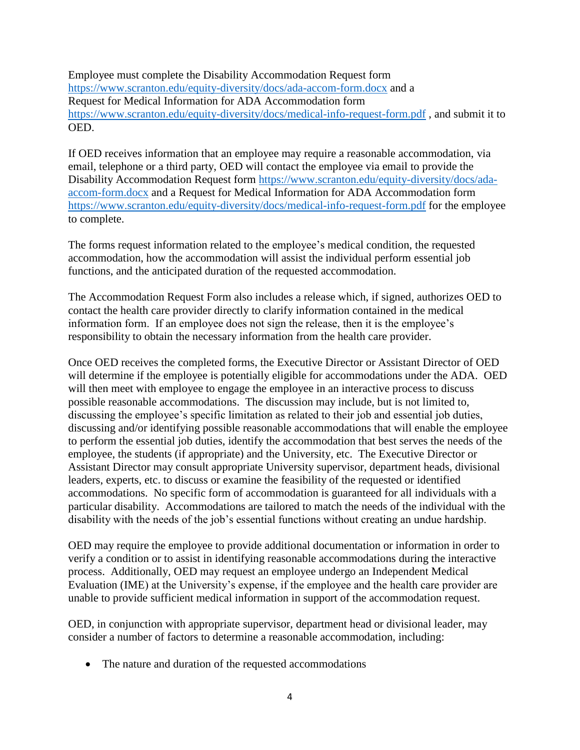Employee must complete the Disability Accommodation Request form <https://www.scranton.edu/equity-diversity/docs/ada-accom-form.docx> and a Request for Medical Information for ADA Accommodation form <https://www.scranton.edu/equity-diversity/docs/medical-info-request-form.pdf> , and submit it to OED.

If OED receives information that an employee may require a reasonable accommodation, via email, telephone or a third party, OED will contact the employee via email to provide the Disability Accommodation Request form [https://www.scranton.edu/equity-diversity/docs/ada](https://www.scranton.edu/equity-diversity/docs/ada-accom-form.docx)[accom-form.docx](https://www.scranton.edu/equity-diversity/docs/ada-accom-form.docx) and a Request for Medical Information for ADA Accommodation form <https://www.scranton.edu/equity-diversity/docs/medical-info-request-form.pdf> for the employee to complete.

The forms request information related to the employee's medical condition, the requested accommodation, how the accommodation will assist the individual perform essential job functions, and the anticipated duration of the requested accommodation.

The Accommodation Request Form also includes a release which, if signed, authorizes OED to contact the health care provider directly to clarify information contained in the medical information form. If an employee does not sign the release, then it is the employee's responsibility to obtain the necessary information from the health care provider.

Once OED receives the completed forms, the Executive Director or Assistant Director of OED will determine if the employee is potentially eligible for accommodations under the ADA. OED will then meet with employee to engage the employee in an interactive process to discuss possible reasonable accommodations. The discussion may include, but is not limited to, discussing the employee's specific limitation as related to their job and essential job duties, discussing and/or identifying possible reasonable accommodations that will enable the employee to perform the essential job duties, identify the accommodation that best serves the needs of the employee, the students (if appropriate) and the University, etc. The Executive Director or Assistant Director may consult appropriate University supervisor, department heads, divisional leaders, experts, etc. to discuss or examine the feasibility of the requested or identified accommodations. No specific form of accommodation is guaranteed for all individuals with a particular disability. Accommodations are tailored to match the needs of the individual with the disability with the needs of the job's essential functions without creating an undue hardship.

OED may require the employee to provide additional documentation or information in order to verify a condition or to assist in identifying reasonable accommodations during the interactive process. Additionally, OED may request an employee undergo an Independent Medical Evaluation (IME) at the University's expense, if the employee and the health care provider are unable to provide sufficient medical information in support of the accommodation request.

OED, in conjunction with appropriate supervisor, department head or divisional leader, may consider a number of factors to determine a reasonable accommodation, including:

• The nature and duration of the requested accommodations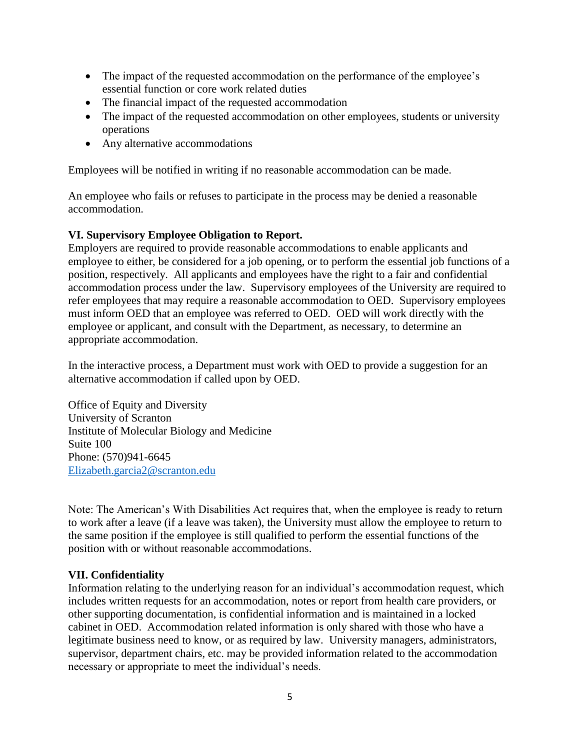- The impact of the requested accommodation on the performance of the employee's essential function or core work related duties
- The financial impact of the requested accommodation
- The impact of the requested accommodation on other employees, students or university operations
- Any alternative accommodations

Employees will be notified in writing if no reasonable accommodation can be made.

An employee who fails or refuses to participate in the process may be denied a reasonable accommodation.

## **VI. Supervisory Employee Obligation to Report.**

Employers are required to provide reasonable accommodations to enable applicants and employee to either, be considered for a job opening, or to perform the essential job functions of a position, respectively. All applicants and employees have the right to a fair and confidential accommodation process under the law. Supervisory employees of the University are required to refer employees that may require a reasonable accommodation to OED. Supervisory employees must inform OED that an employee was referred to OED. OED will work directly with the employee or applicant, and consult with the Department, as necessary, to determine an appropriate accommodation.

In the interactive process, a Department must work with OED to provide a suggestion for an alternative accommodation if called upon by OED.

Office of Equity and Diversity University of Scranton Institute of Molecular Biology and Medicine Suite 100 Phone: (570)941-6645 [Elizabeth.garcia2@scranton.edu](mailto:Elizabeth.garcia2@scranton.edu)

Note: The American's With Disabilities Act requires that, when the employee is ready to return to work after a leave (if a leave was taken), the University must allow the employee to return to the same position if the employee is still qualified to perform the essential functions of the position with or without reasonable accommodations.

## **VII. Confidentiality**

Information relating to the underlying reason for an individual's accommodation request, which includes written requests for an accommodation, notes or report from health care providers, or other supporting documentation, is confidential information and is maintained in a locked cabinet in OED. Accommodation related information is only shared with those who have a legitimate business need to know, or as required by law. University managers, administrators, supervisor, department chairs, etc. may be provided information related to the accommodation necessary or appropriate to meet the individual's needs.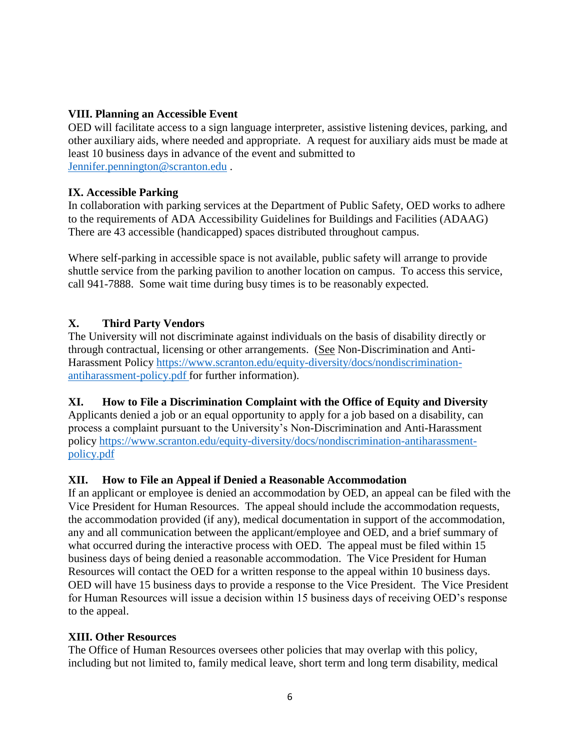## **VIII. Planning an Accessible Event**

OED will facilitate access to a sign language interpreter, assistive listening devices, parking, and other auxiliary aids, where needed and appropriate. A request for auxiliary aids must be made at least 10 business days in advance of the event and submitted to [Jennifer.pennington@scranton.edu](mailto:Jennifer.pennington@scranton.edu) .

## **IX. Accessible Parking**

In collaboration with parking services at the Department of Public Safety, OED works to adhere to the requirements of ADA Accessibility Guidelines for Buildings and Facilities (ADAAG) There are 43 accessible (handicapped) spaces distributed throughout campus.

Where self-parking in accessible space is not available, public safety will arrange to provide shuttle service from the parking pavilion to another location on campus. To access this service, call 941-7888. Some wait time during busy times is to be reasonably expected.

## **X. Third Party Vendors**

The University will not discriminate against individuals on the basis of disability directly or through contractual, licensing or other arrangements. (See Non-Discrimination and Anti-Harassment Policy [https://www.scranton.edu/equity-diversity/docs/nondiscrimination](https://www.scranton.edu/equity-diversity/docs/nondiscrimination-antiharassment-policy.pdf)[antiharassment-policy.pdf](https://www.scranton.edu/equity-diversity/docs/nondiscrimination-antiharassment-policy.pdf) for further information).

## **XI. How to File a Discrimination Complaint with the Office of Equity and Diversity**

Applicants denied a job or an equal opportunity to apply for a job based on a disability, can process a complaint pursuant to the University's Non-Discrimination and Anti-Harassment policy [https://www.scranton.edu/equity-diversity/docs/nondiscrimination-antiharassment](https://www.scranton.edu/equity-diversity/docs/nondiscrimination-antiharassment-policy.pdf)[policy.pdf](https://www.scranton.edu/equity-diversity/docs/nondiscrimination-antiharassment-policy.pdf)

## **XII. How to File an Appeal if Denied a Reasonable Accommodation**

If an applicant or employee is denied an accommodation by OED, an appeal can be filed with the Vice President for Human Resources. The appeal should include the accommodation requests, the accommodation provided (if any), medical documentation in support of the accommodation, any and all communication between the applicant/employee and OED, and a brief summary of what occurred during the interactive process with OED. The appeal must be filed within 15 business days of being denied a reasonable accommodation. The Vice President for Human Resources will contact the OED for a written response to the appeal within 10 business days. OED will have 15 business days to provide a response to the Vice President. The Vice President for Human Resources will issue a decision within 15 business days of receiving OED's response to the appeal.

## **XIII. Other Resources**

The Office of Human Resources oversees other policies that may overlap with this policy, including but not limited to, family medical leave, short term and long term disability, medical